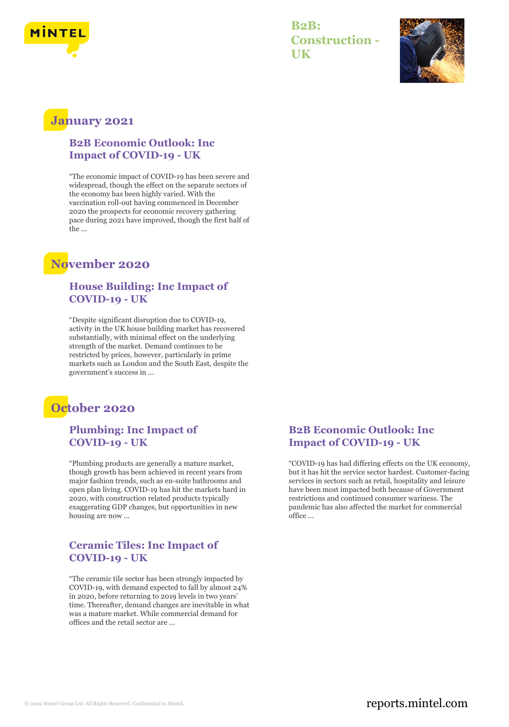

**B2B: Construction - UK**



### **January 2021**

#### **B2B Economic Outlook: Inc Impact of COVID-19 - UK**

"The economic impact of COVID-19 has been severe and widespread, though the effect on the separate sectors of the economy has been highly varied. With the vaccination roll-out having commenced in December 2020 the prospects for economic recovery gathering pace during 2021 have improved, though the first half of the ...

## **November 2020**

### **House Building: Inc Impact of COVID-19 - UK**

"Despite significant disruption due to COVID-19, activity in the UK house building market has recovered substantially, with minimal effect on the underlying strength of the market. Demand continues to be restricted by prices, however, particularly in prime markets such as London and the South East, despite the government's success in ...

## **October 2020**

### **Plumbing: Inc Impact of COVID-19 - UK**

"Plumbing products are generally a mature market, though growth has been achieved in recent years from major fashion trends, such as en-suite bathrooms and open plan living. COVID-19 has hit the markets hard in 2020, with construction related products typically exaggerating GDP changes, but opportunities in new housing are now ...

### **Ceramic Tiles: Inc Impact of COVID-19 - UK**

"The ceramic tile sector has been strongly impacted by COVID-19, with demand expected to fall by almost 24% in 2020, before returning to 2019 levels in two years' time. Thereafter, demand changes are inevitable in what was a mature market. While commercial demand for offices and the retail sector are ...

### **B2B Economic Outlook: Inc Impact of COVID-19 - UK**

"COVID-19 has had differing effects on the UK economy, but it has hit the service sector hardest. Customer-facing services in sectors such as retail, hospitality and leisure have been most impacted both because of Government restrictions and continued consumer wariness. The pandemic has also affected the market for commercial office ...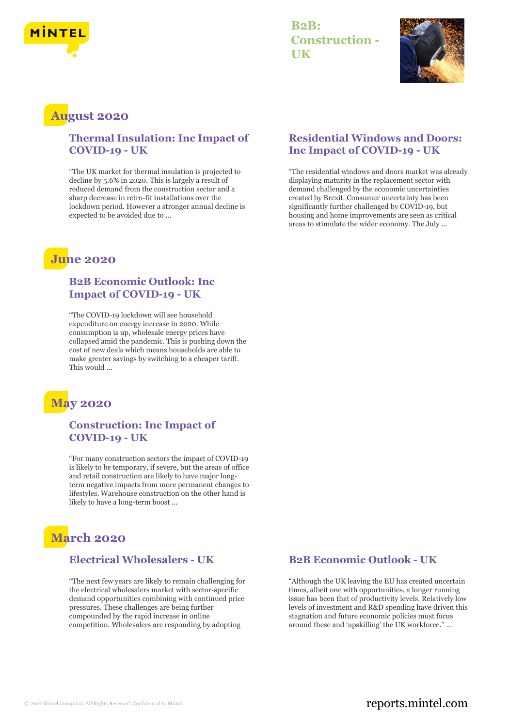

### **B2B: Construction - UK**



### **August 2020**

### **Thermal Insulation: Inc Impact of COVID-19 - UK**

"The UK market for thermal insulation is projected to decline by 5.6% in 2020. This is largely a result of reduced demand from the construction sector and a sharp decrease in retro-fit installations over the lockdown period. However a stronger annual decline is expected to be avoided due to ...

## **June 2020**

#### **B2B Economic Outlook: Inc Impact of COVID-19 - UK**

"The COVID-19 lockdown will see household expenditure on energy increase in 2020. While consumption is up, wholesale energy prices have collapsed amid the pandemic. This is pushing down the cost of new deals which means households are able to make greater savings by switching to a cheaper tariff. This would ...



### **Construction: Inc Impact of COVID-19 - UK**

"For many construction sectors the impact of COVID-19 is likely to be temporary, if severe, but the areas of office and retail construction are likely to have major longterm negative impacts from more permanent changes to lifestyles. Warehouse construction on the other hand is likely to have a long-term boost ...

# **March 2020**

#### **Electrical Wholesalers - UK**

"The next few years are likely to remain challenging for the electrical wholesalers market with sector-specific demand opportunities combining with continued price pressures. These challenges are being further compounded by the rapid increase in online competition. Wholesalers are responding by adopting

### **Residential Windows and Doors: Inc Impact of COVID-19 - UK**

"The residential windows and doors market was already displaying maturity in the replacement sector with demand challenged by the economic uncertainties created by Brexit. Consumer uncertainty has been significantly further challenged by COVID-19, but housing and home improvements are seen as critical areas to stimulate the wider economy. The July ...

### **B2B Economic Outlook - UK**

"Although the UK leaving the EU has created uncertain times, albeit one with opportunities, a longer running issue has been that of productivity levels. Relatively low levels of investment and R&D spending have driven this stagnation and future economic policies must focus around these and 'upskilling' the UK workforce." ...

### © 2022 Mintel Group Ltd. All Rights Reserved. Confidential to Mintel.  $\blacksquare$  reports.mintel.com